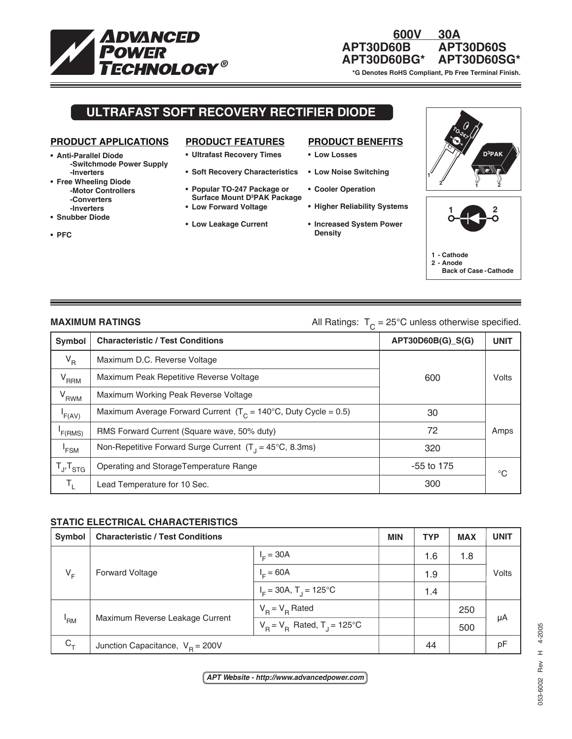

### **600V 30A APT30D60B APT30D60S APT30D60BG\* APT30D60SG\***

 **\*G Denotes RoHS Compliant, Pb Free Terminal Finish.**

## **ULTRAFAST SOFT RECOVERY RECTIFIER DIODE**

#### **PRODUCT APPLICATIONS**

- **Anti-Parallel Diode -Switchmode Power Supply -Inverters**
- **Free Wheeling Diode -Motor Controllers -Converters -Inverters**
- **Snubber Diode**

**• PFC**

- **PRODUCT FEATURES**
- **Ultrafast Recovery Times**
- **Soft Recovery Characteristics**
- **Popular TO-247 Package or Surface Mount D3 PAK Package**
- **Low Forward Voltage**
- **Low Leakage Current**

### **PRODUCT BENEFITS**

- **Low Losses**
- **Low Noise Switching**
- **Cooler Operation**
- **Higher Reliability Systems**
- **Increased System Power Density**





# **MAXIMUM RATINGS** MAXIMUM RATINGS All Ratings:  $T_c = 25^\circ \text{C}$  unless otherwise specified.

| <b>Symbol</b>       | ັ<br><b>Characteristic / Test Conditions</b>                              | APT30D60B(G)_S(G) | <b>UNIT</b> |
|---------------------|---------------------------------------------------------------------------|-------------------|-------------|
| $V_R$               | Maximum D.C. Reverse Voltage                                              |                   |             |
| $V_{RRM}$           | Maximum Peak Repetitive Reverse Voltage                                   | 600               | Volts       |
| V <sub>RWM</sub>    | Maximum Working Peak Reverse Voltage                                      |                   |             |
| F(AV)               | Maximum Average Forward Current $(T_c = 140^{\circ}C, Duty$ Cycle = 0.5)  | 30                |             |
| F(RMS)              | RMS Forward Current (Square wave, 50% duty)                               | 72                | Amps        |
| 'FSM                | Non-Repetitive Forward Surge Current $(T_1 = 45^{\circ}C, 8.3 \text{ms})$ | 320               |             |
| $T_{J}$ , $T_{STG}$ | Operating and StorageTemperature Range                                    | -55 to 175        | ℃           |
| т,                  | Lead Temperature for 10 Sec.                                              | 300               |             |

#### **STATIC ELECTRICAL CHARACTERISTICS**

| Symbol | <b>Characteristic / Test Conditions</b> |                                           | <b>MIN</b> | <b>TYP</b> | <b>MAX</b> | <b>UNIT</b> |
|--------|-----------------------------------------|-------------------------------------------|------------|------------|------------|-------------|
| $V_F$  | <b>Forward Voltage</b>                  | $IE = 30A$                                |            | 1.6        | 1.8        | Volts       |
|        |                                         | $IE = 60A$                                |            | 1.9        |            |             |
|        |                                         | $I_F = 30A$ , T <sub>r</sub> = 125°C      |            | 1.4        |            |             |
| 'RM    | Maximum Reverse Leakage Current         | $V_B = V_B$ Rated                         |            |            | 250        | μA          |
|        |                                         | $V_B = V_B$ Rated, T <sub>J</sub> = 125°C |            |            | 500        |             |
| $C_T$  | Junction Capacitance, $V_B = 200V$      |                                           |            | 44         |            | рF          |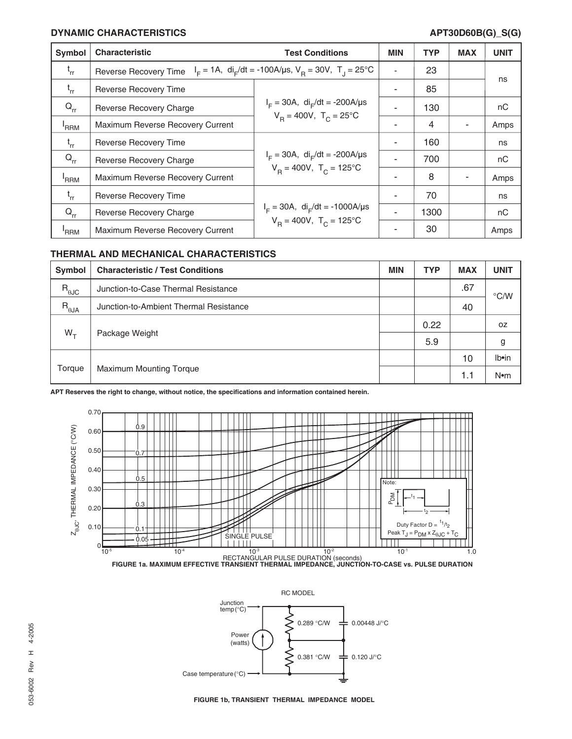#### **DYNAMIC CHARACTERISTICS APT30D60B(G)\_S(G)**

| Symbol   | <b>Characteristic</b>                                                                                                    | <b>Test Conditions</b>                                                               | <b>MIN</b> | <b>TYP</b> | <b>MAX</b> | <b>UNIT</b> |
|----------|--------------------------------------------------------------------------------------------------------------------------|--------------------------------------------------------------------------------------|------------|------------|------------|-------------|
| $t_{rr}$ | $I_F = 1A$ , di <sub>F</sub> /dt = -100A/us, V <sub>R</sub> = 30V, T <sub>J</sub> = 25°C<br><b>Reverse Recovery Time</b> |                                                                                      |            | 23         |            | ns          |
| $t_{rr}$ | <b>Reverse Recovery Time</b>                                                                                             | $I_F = 30A$ , di <sub>r</sub> /dt = -200A/µs<br>$V_B = 400V$ , $T_C = 25^{\circ}C$   |            | 85         |            |             |
| $Q_{rr}$ | Reverse Recovery Charge                                                                                                  |                                                                                      |            | 130        |            | nC          |
| 'RRM     | Maximum Reverse Recovery Current                                                                                         |                                                                                      |            | 4          |            | Amps        |
| $t_{rr}$ | <b>Reverse Recovery Time</b>                                                                                             | $I_F = 30A$ , di <sub>r</sub> /dt = -200A/µs<br>$V_p = 400V$ , $T_c = 125^{\circ}C$  |            | 160        |            | ns          |
| $Q_{rr}$ | Reverse Recovery Charge                                                                                                  |                                                                                      |            | 700        |            | nC          |
| 'RRM     | Maximum Reverse Recovery Current                                                                                         |                                                                                      |            | 8          |            | Amps        |
| $t_{rr}$ | <b>Reverse Recovery Time</b>                                                                                             | $I_F = 30A$ , di <sub>F</sub> /dt = -1000A/µs<br>$V_B = 400V$ , $T_C = 125^{\circ}C$ |            | 70         |            | ns          |
| $Q_{rr}$ | Reverse Recovery Charge                                                                                                  |                                                                                      |            | 1300       |            | nC          |
| 'RRM     | Maximum Reverse Recovery Current                                                                                         |                                                                                      |            | 30         |            | Amps        |

#### **THERMAL AND MECHANICAL CHARACTERISTICS**

| Symbol         | <b>Characteristic / Test Conditions</b> | <b>MIN</b> | <b>TYP</b> | <b>MAX</b> | <b>UNIT</b>     |
|----------------|-----------------------------------------|------------|------------|------------|-----------------|
| $R_{\theta$ JC | Junction-to-Case Thermal Resistance     |            |            | .67        | $\degree$ C/W   |
| $R_{\theta$ JA | Junction-to-Ambient Thermal Resistance  |            |            | 40         |                 |
| $W_{\tau}$     | Package Weight                          |            | 0.22       |            | 0Z              |
|                |                                         |            | 5.9        |            | g               |
| Torque         | <b>Maximum Mounting Torque</b>          |            |            | 10         | Ib•in           |
|                |                                         |            |            | 1.1        | N <sub>em</sub> |

**APT Reserves the right to change, without notice, the specifications and information contained herein.**







**FIGURE 1b, TRANSIENT THERMAL IMPEDANCE MODEL**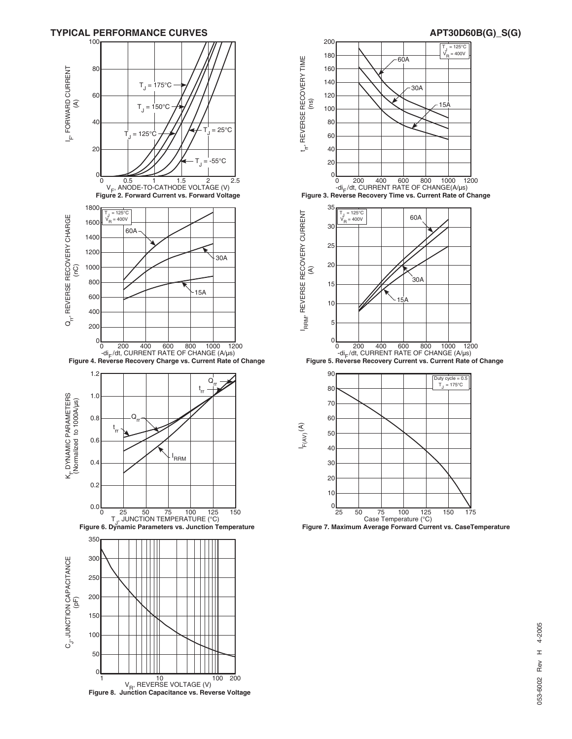

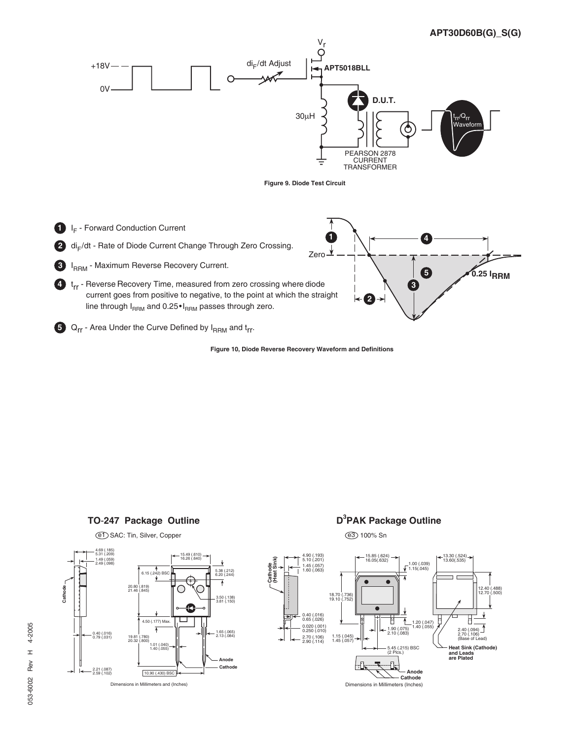

**Figure 10, Diode Reverse Recovery Waveform and Definitions**







# **D**<sup>3</sup>PAK Package Outline